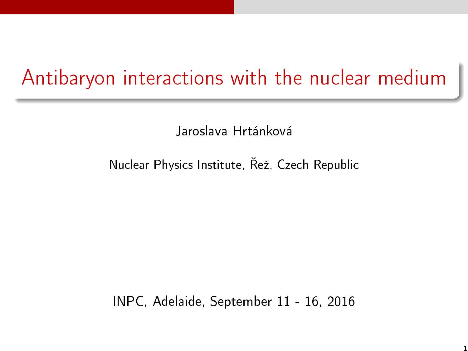# Antibaryon interactions with the nuclear medium

Jaroslava Hrtánková

Nuclear Physics Institute, Řež, Czech Republic

INPC, Adelaide, September 11 - 16, 2016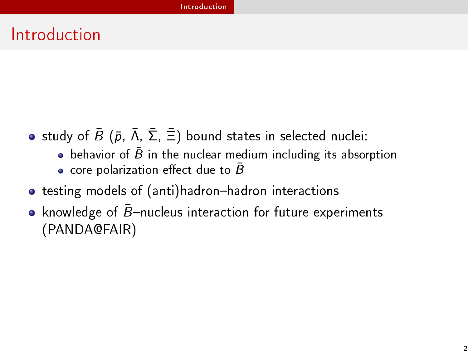## Introduction

- **•** study of  $\bar{B}$  ( $\bar{p}$ ,  $\bar{\Lambda}$ ,  $\bar{\Sigma}$ ,  $\bar{\Xi}$ ) bound states in selected nuclei:
	- $\bullet$  behavior of  $\bar{B}$  in the nuclear medium including its absorption
	- $\bullet$  core polarization effect due to B
- testing models of (anti)hadron-hadron interactions
- <span id="page-1-0"></span>knowledge of  $\bar{B}$ -nucleus interaction for future experiments  $\bullet$ (PANDA@FAIR)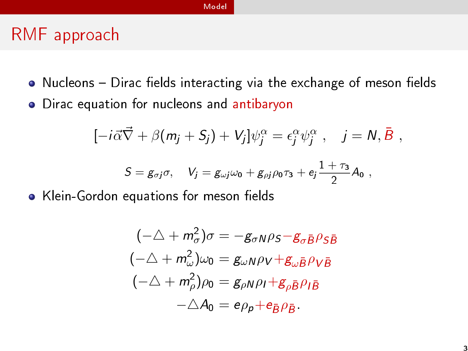#### [Model](#page-2-0)

#### RMF approach

- $\bullet$  Nucleons Dirac fields interacting via the exchange of meson fields
- Dirac equation for nucleons and antibaryon

$$
[-i\vec{\alpha}\vec{\nabla} + \beta(m_j + S_j) + V_j]\psi_j^{\alpha} = \epsilon_j^{\alpha}\psi_j^{\alpha} , \quad j = N, \bar{B} ,
$$

$$
S = g_{\sigma j} \sigma, \quad V_j = g_{\omega j} \omega_0 + g_{\rho j} \rho_0 \tau_3 + e_j \frac{1 + \tau_3}{2} A_0,
$$

• Klein-Gordon equations for meson fields

<span id="page-2-0"></span>
$$
(-\triangle + m_{\sigma}^2)\sigma = -g_{\sigma N}\rho_S - g_{\sigma \bar{B}}\rho_{S\bar{B}}
$$

$$
(-\triangle + m_{\omega}^2)\omega_0 = g_{\omega N}\rho_V + g_{\omega \bar{B}}\rho_{V\bar{B}}
$$

$$
(-\triangle + m_{\rho}^2)\rho_0 = g_{\rho N}\rho_I + g_{\rho \bar{B}}\rho_{I\bar{B}}
$$

$$
-\triangle A_0 = e\rho_p + e_{\bar{B}}\rho_{\bar{B}}.
$$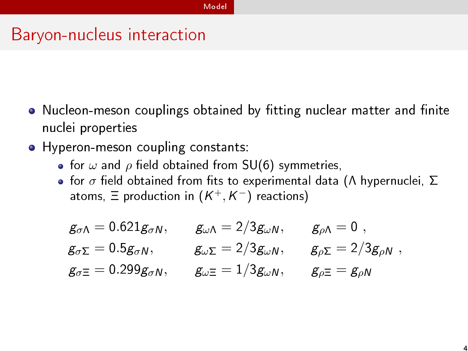## Baryon-nucleus interaction

- Nucleon-meson couplings obtained by fitting nuclear matter and finite nuclei properties
- Hyperon-meson coupling constants:
	- for  $\omega$  and  $\rho$  field obtained from SU(6) symmetries,
	- for  $\sigma$  field obtained from fits to experimental data ( $\Lambda$  hypernuclei,  $\Sigma$ atoms,  $\Xi$  production in  $(\mathcal{K}^+,\mathcal{K}^-)$  reactions)

<span id="page-3-0"></span>
$$
g_{\sigma\Lambda} = 0.621g_{\sigma N}, \t g_{\omega\Lambda} = 2/3g_{\omega N}, \t g_{\rho\Lambda} = 0,
$$
  
\n
$$
g_{\sigma\Sigma} = 0.5g_{\sigma N}, \t g_{\omega\Sigma} = 2/3g_{\omega N}, \t g_{\rho\Sigma} = 2/3g_{\rho N},
$$
  
\n
$$
g_{\sigma\Xi} = 0.299g_{\sigma N}, \t g_{\omega\Xi} = 1/3g_{\omega N}, \t g_{\rho\Xi} = g_{\rho N}
$$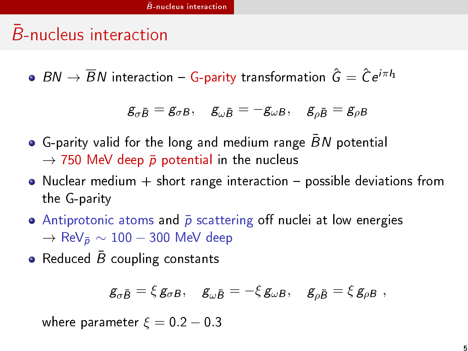## $\bar{B}$ -nucleus interaction

 $\bullet$   $BN \rightarrow \overline{B}N$  interaction – G-parity transformation  $\hat{G} = \hat{C}e^{i\pi I_1}$ 

$$
g_{\sigma \bar B} = g_{\sigma B}, \quad g_{\omega \bar B} = - g_{\omega B}, \quad g_{\rho \bar B} = g_{\rho B}
$$

- G-parity valid for the long and medium range  $\bar{B}N$  potential  $\rightarrow$  750 MeV deep  $\bar{p}$  potential in the nucleus
- $\bullet$  Nuclear medium  $+$  short range interaction  $-$  possible deviations from the G-parity
- Antiprotonic atoms and  $\bar{p}$  scattering off nuclei at low energies  $\rightarrow$  ReV $_{\bar{p}} \sim 100 - 300$  MeV deep
- Reduced  $\bar{B}$  coupling constants

<span id="page-4-0"></span>
$$
\textit{g}_{\sigma\bar{\textit{B}}}=\xi\,\textit{g}_{\sigma\textit{B}},\quad\textit{g}_{\omega\bar{\textit{B}}}=-\xi\,\textit{g}_{\omega\textit{B}},\quad\textit{g}_{\rho\bar{\textit{B}}}=\xi\,\textit{g}_{\rho\textit{B}}\ ,
$$

where parameter  $\xi = 0.2 - 0.3$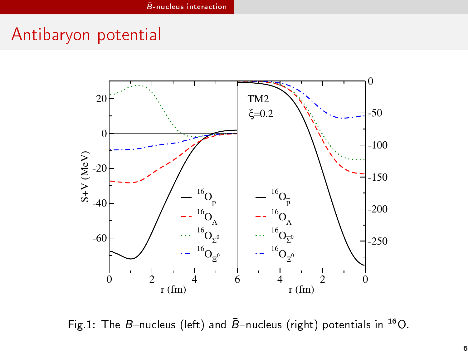## Antibaryon potential



<span id="page-5-0"></span>Fig.1: The B-nucleus (left) and  $\bar{B}$ -nucleus (right) potentials in <sup>16</sup>O.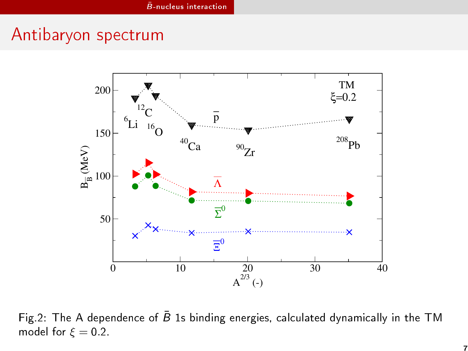## Antibaryon spectrum



<span id="page-6-0"></span>Fig.2: The A dependence of  $\bar{B}$  1s binding energies, calculated dynamically in the TM model for  $\xi = 0.2$ .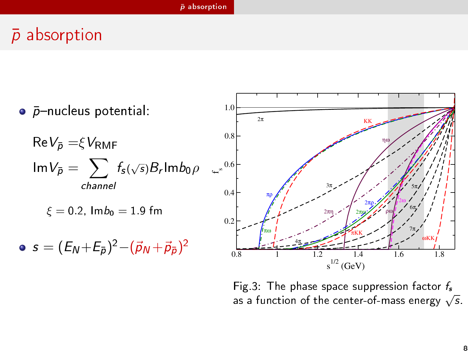#### $\bar{p}$  [absorption](#page-7-0)

## $\bar{p}$  absorption



<span id="page-7-0"></span>Fig.3: The phase space suppression factor  $f_s$ as a function of the center-of-mass energy  $\sqrt{s}$ .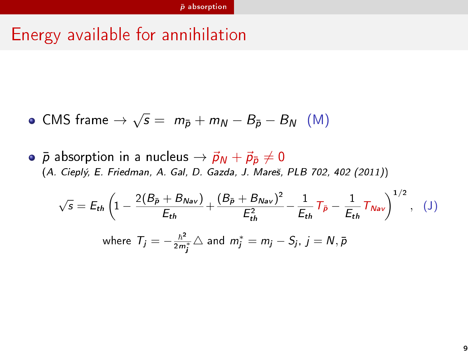## Energy available for annihilation

- CMS frame  $\rightarrow \sqrt{s} = m_{\bar{p}} + m_N B_{\bar{p}} B_N$  (M)
- $\bullet$   $\bar{p}$  absorption in a nucleus  $\rightarrow \vec{p}_N + \vec{p}_{\bar{p}} \neq 0$ (A. Cieplý, E. Friedman, A. Gal, D. Gazda, J. Mareš, PLB 702, 402 (2011))

<span id="page-8-0"></span>
$$
\sqrt{s} = E_{th} \left( 1 - \frac{2(B_{\bar{p}} + B_{\text{Nav}})}{E_{th}} + \frac{(B_{\bar{p}} + B_{\text{Nav}})^2}{E_{th}^2} - \frac{1}{E_{th}} T_{\bar{p}} - \frac{1}{E_{th}} T_{\text{Nav}} \right)^{1/2}, \quad (J)
$$
\nwhere  $T_j = -\frac{\hbar^2}{2m_j^*} \triangle$  and  $m_j^* = m_j - S_j$ ,  $j = N, \bar{p}$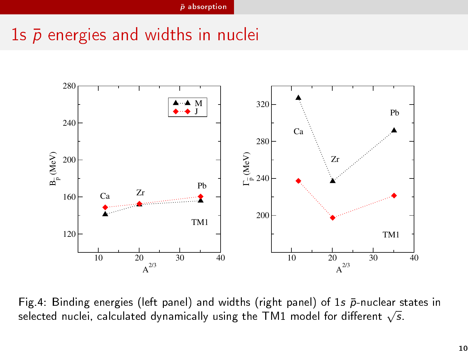## 1s  $\bar{p}$  energies and widths in nuclei



<span id="page-9-0"></span>Fig.4: Binding energies (left panel) and widths (right panel) of 1s  $\bar{p}$ -nuclear states in  $\Gamma$  is . Binding energies (tert paner) and widths (right paner) of is p-nuclear s<br>selected nuclei, calculated dynamically using the TM1 model for different  $\sqrt{s}$ .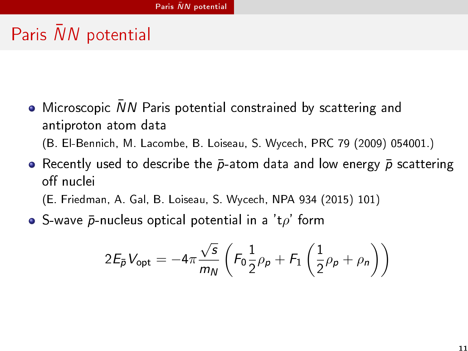# Paris  $\bar{N}N$  potential

- $\bullet$  Microscopic  $\bar{N}N$  Paris potential constrained by scattering and antiproton atom data (B. El-Bennich, M. Lacombe, B. Loiseau, S. Wycech, PRC 79 (2009) 054001.)
- Recently used to describe the  $\bar{p}$ -atom data and low energy  $\bar{p}$  scattering off nuclei
	- (E. Friedman, A. Gal, B. Loiseau, S. Wycech, NPA 934 (2015) 101)
- $\bullet$  S-wave  $\bar{p}$ -nucleus optical potential in a 't $\rho$ ' form

<span id="page-10-0"></span>
$$
2E_{\bar{p}}V_{\text{opt}} = -4\pi \frac{\sqrt{s}}{m_N} \left( F_0 \frac{1}{2}\rho_p + F_1 \left( \frac{1}{2}\rho_p + \rho_n \right) \right)
$$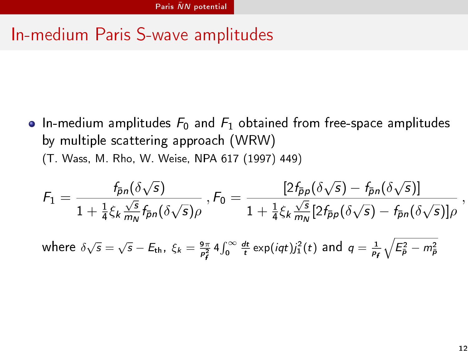## In-medium Paris S-wave amplitudes

• In-medium amplitudes  $F_0$  and  $F_1$  obtained from free-space amplitudes by multiple scattering approach (WRW) (T. Wass, M. Rho, W. Weise, NPA 617 (1997) 449)

$$
\mathcal{F}_1 = \frac{f_{\bar{p}n}(\delta\sqrt{s})}{1 + \frac{1}{4}\xi_k\frac{\sqrt{s}}{m_N}f_{\bar{p}n}(\delta\sqrt{s})\rho} , \mathcal{F}_0 = \frac{[2f_{\bar{p}p}(\delta\sqrt{s}) - f_{\bar{p}n}(\delta\sqrt{s})]}{1 + \frac{1}{4}\xi_k\frac{\sqrt{s}}{m_N}[2f_{\bar{p}p}(\delta\sqrt{s}) - f_{\bar{p}n}(\delta\sqrt{s})]\rho} ,
$$

<span id="page-11-0"></span>where  $\delta\sqrt{s} = \sqrt{s} - E_{\text{th}}$ ,  $\xi_k = \frac{9\pi}{\rho_f^2} 4 \int_0^\infty \frac{dt}{t} \exp(iqt) j_1^2(t)$  and  $q = \frac{1}{\rho_f} \sqrt{E_{\bar{p}}^2 - m_{\bar{p}}^2}$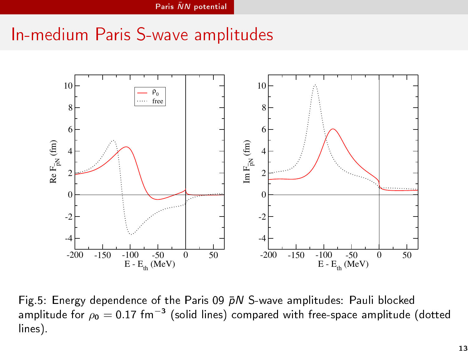## In-medium Paris S-wave amplitudes



<span id="page-12-0"></span>Fig.5: Energy dependence of the Paris 09  $\bar{p}N$  S-wave amplitudes: Pauli blocked amplitude for  $\rho_{\textbf{0}}=$  0.17 fm $^{-3}$  (solid lines) compared with free-space amplitude (dotted lines).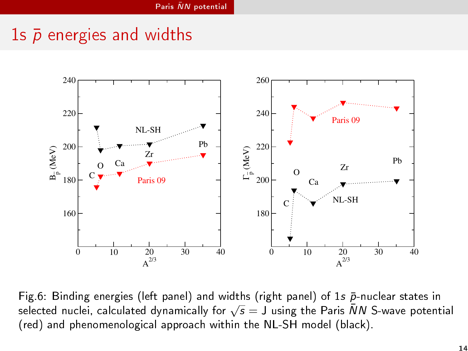## 1s  $\bar{p}$  energies and widths



<span id="page-13-0"></span>Fig.6: Binding energies (left panel) and widths (right panel) of 1s  $\bar{p}$ -nuclear states in  $\Gamma$  is the manning energies (nert parier) and widths (right parier) or 1s p-nuclear states in selected nuclei, calculated dynamically for  $\sqrt{s}=J$  using the Paris  $\bar NN$  S-wave potential (red) and phenomenological approach within the NL-SH model (black).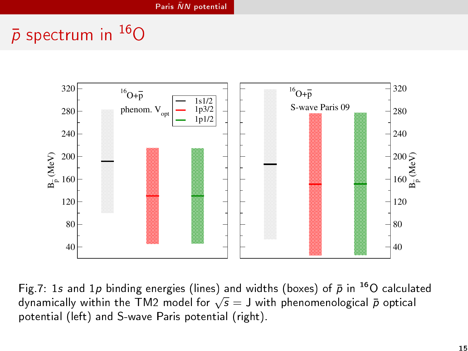# $\bar{p}$  spectrum in  $^{16}$ O



<span id="page-14-0"></span>Fig.7: 1s and 1p binding energies (lines) and widths (boxes) of  $\bar{p}$  in <sup>16</sup>O calculated  $\frac{1}{8}$ . Is and 1p binding energies (intes) and widths (boxes) or p in  $\sigma$  Calculation dynamically within the TM2 model for  $\sqrt{s} = J$  with phenomenological  $\bar{p}$  optical potential (left) and S-wave Paris potential (right).